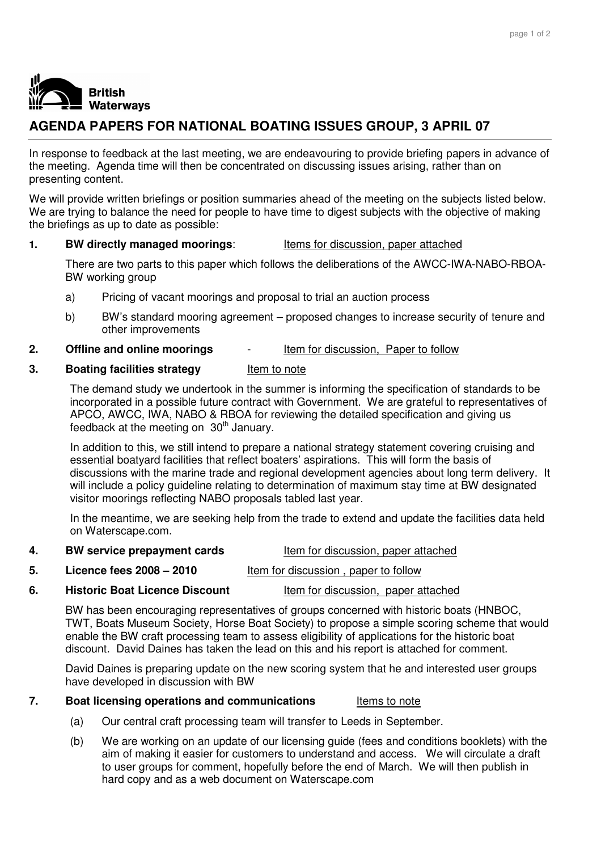

# **AGENDA PAPERS FOR NATIONAL BOATING ISSUES GROUP, 3 APRIL 07**

In response to feedback at the last meeting, we are endeavouring to provide briefing papers in advance of the meeting. Agenda time will then be concentrated on discussing issues arising, rather than on presenting content.

We will provide written briefings or position summaries ahead of the meeting on the subjects listed below. We are trying to balance the need for people to have time to digest subjects with the objective of making the briefings as up to date as possible:

**1. BW directly managed moorings**: Items for discussion, paper attached

There are two parts to this paper which follows the deliberations of the AWCC-IWA-NABO-RBOA-BW working group

- a) Pricing of vacant moorings and proposal to trial an auction process
- b) BW's standard mooring agreement proposed changes to increase security of tenure and other improvements
- **2. Offline and online moorings** Item for discussion, Paper to follow

### **3. Boating facilities strategy** Item to note

The demand study we undertook in the summer is informing the specification of standards to be incorporated in a possible future contract with Government. We are grateful to representatives of APCO, AWCC, IWA, NABO & RBOA for reviewing the detailed specification and giving us feedback at the meeting on 30<sup>th</sup> January.

In addition to this, we still intend to prepare a national strategy statement covering cruising and essential boatyard facilities that reflect boaters' aspirations. This will form the basis of discussions with the marine trade and regional development agencies about long term delivery. It will include a policy guideline relating to determination of maximum stay time at BW designated visitor moorings reflecting NABO proposals tabled last year.

In the meantime, we are seeking help from the trade to extend and update the facilities data held on Waterscape.com.

- **4. BW service prepayment cards** Item for discussion, paper attached
- **5. Licence fees 2008 – 2010** Item for discussion , paper to follow

## **6. Historic Boat Licence Discount** Item for discussion, paper attached

BW has been encouraging representatives of groups concerned with historic boats (HNBOC, TWT, Boats Museum Society, Horse Boat Society) to propose a simple scoring scheme that would enable the BW craft processing team to assess eligibility of applications for the historic boat discount. David Daines has taken the lead on this and his report is attached for comment.

David Daines is preparing update on the new scoring system that he and interested user groups have developed in discussion with BW

#### **7. Boat licensing operations and communications Items to note**

- (a) Our central craft processing team will transfer to Leeds in September.
- (b) We are working on an update of our licensing guide (fees and conditions booklets) with the aim of making it easier for customers to understand and access. We will circulate a draft to user groups for comment, hopefully before the end of March. We will then publish in hard copy and as a web document on Waterscape.com